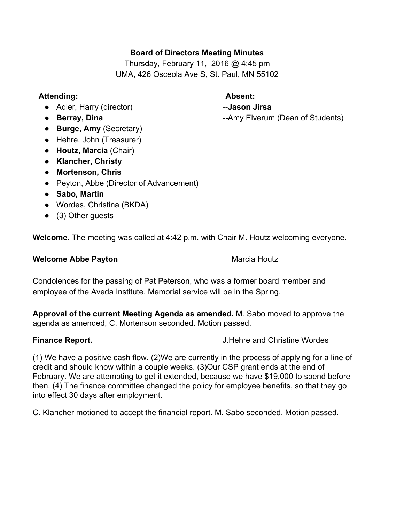# **Board of Directors Meeting Minutes**

Thursday, February 11, 2016 @ 4:45 pm UMA, 426 Osceola Ave S, St. Paul, MN 55102

## **Attending: Absent:**

- Adler, Harry (director) **Jason Jirsa** -- Jason Jirsa
- 
- **Burge, Amy**(Secretary)
- Hehre, John (Treasurer)
- **Houtz, Marcia**(Chair)
- **● Klancher, Christy**
- **● Mortenson, Chris**
- Peyton, Abbe (Director of Advancement)
- **Sabo, Martin**
- **●** Wordes, Christina (BKDA)
- (3) Other guests

**Welcome.**The meeting was called at 4:42 p.m. with Chair M. Houtz welcoming everyone.

### **Welcome Abbe Payton** Marcia Houtz

Condolences for the passing of Pat Peterson, who was a former board member and employee of the Aveda Institute. Memorial service will be in the Spring.

**Approval of the current Meeting Agenda as amended.** M. Sabo moved to approve the agenda as amended, C. Mortenson seconded. Motion passed.

**Finance Report.** J.Hehre and Christine Wordes

(1) We have a positive cash flow. (2)We are currently in the process of applying for a line of credit and should know within a couple weeks. (3)Our CSP grant ends at the end of February. We are attempting to get it extended, because we have \$19,000 to spend before then. (4) The finance committee changed the policy for employee benefits, so that they go into effect 30 days after employment.

C. Klancher motioned to accept the financial report. M. Sabo seconded. Motion passed.

• **Berray, Dina Amy Elverum (Dean of Students)**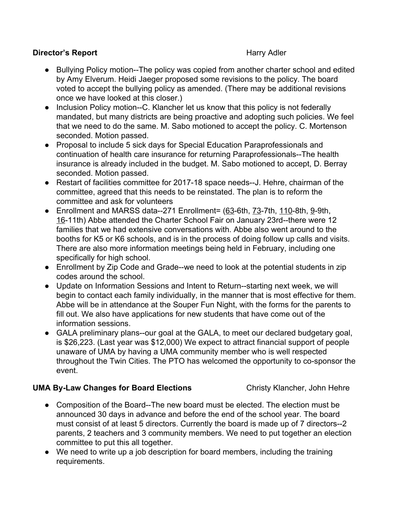## **Director's Report Harry Adler Harry Adler**

- Bullying Policy motion--The policy was copied from another charter school and edited by Amy Elverum. Heidi Jaeger proposed some revisions to the policy. The board voted to accept the bullying policy as amended. (There may be additional revisions once we have looked at this closer.)
- Inclusion Policy motion--C. Klancher let us know that this policy is not federally mandated, but many districts are being proactive and adopting such policies. We feel that we need to do the same. M. Sabo motioned to accept the policy. C. Mortenson seconded. Motion passed.
- Proposal to include 5 sick days for Special Education Paraprofessionals and continuation of health care insurance for returning Paraprofessionals--The health insurance is already included in the budget. M. Sabo motioned to accept, D. Berray seconded. Motion passed.
- Restart of facilities committee for 2017-18 space needs--J. Hehre, chairman of the committee, agreed that this needs to be reinstated. The plan is to reform the committee and ask for volunteers
- Enrollment and MARSS data--271 Enrollment= (63-6th, 73-7th, 110-8th, 9-9th, 16-11th) Abbe attended the Charter School Fair on January 23rd--there were 12 families that we had extensive conversations with. Abbe also went around to the booths for K5 or K6 schools, and is in the process of doing follow up calls and visits. There are also more information meetings being held in February, including one specifically for high school.
- Enrollment by Zip Code and Grade--we need to look at the potential students in zip codes around the school.
- Update on Information Sessions and Intent to Return--starting next week, we will begin to contact each family individually, in the manner that is most effective for them. Abbe will be in attendance at the Souper Fun Night, with the forms for the parents to fill out. We also have applications for new students that have come out of the information sessions.
- GALA preliminary plans--our goal at the GALA, to meet our declared budgetary goal, is \$26,223. (Last year was \$12,000) We expect to attract financial support of people unaware of UMA by having a UMA community member who is well respected throughout the Twin Cities. The PTO has welcomed the opportunity to co-sponsor the event.

### **UMA ByLaw Changes for Board Elections** Christy Klancher, John Hehre

- Composition of the Board--The new board must be elected. The election must be announced 30 days in advance and before the end of the school year. The board must consist of at least 5 directors. Currently the board is made up of 7 directors--2 parents, 2 teachers and 3 community members. We need to put together an election committee to put this all together.
- We need to write up a job description for board members, including the training requirements.